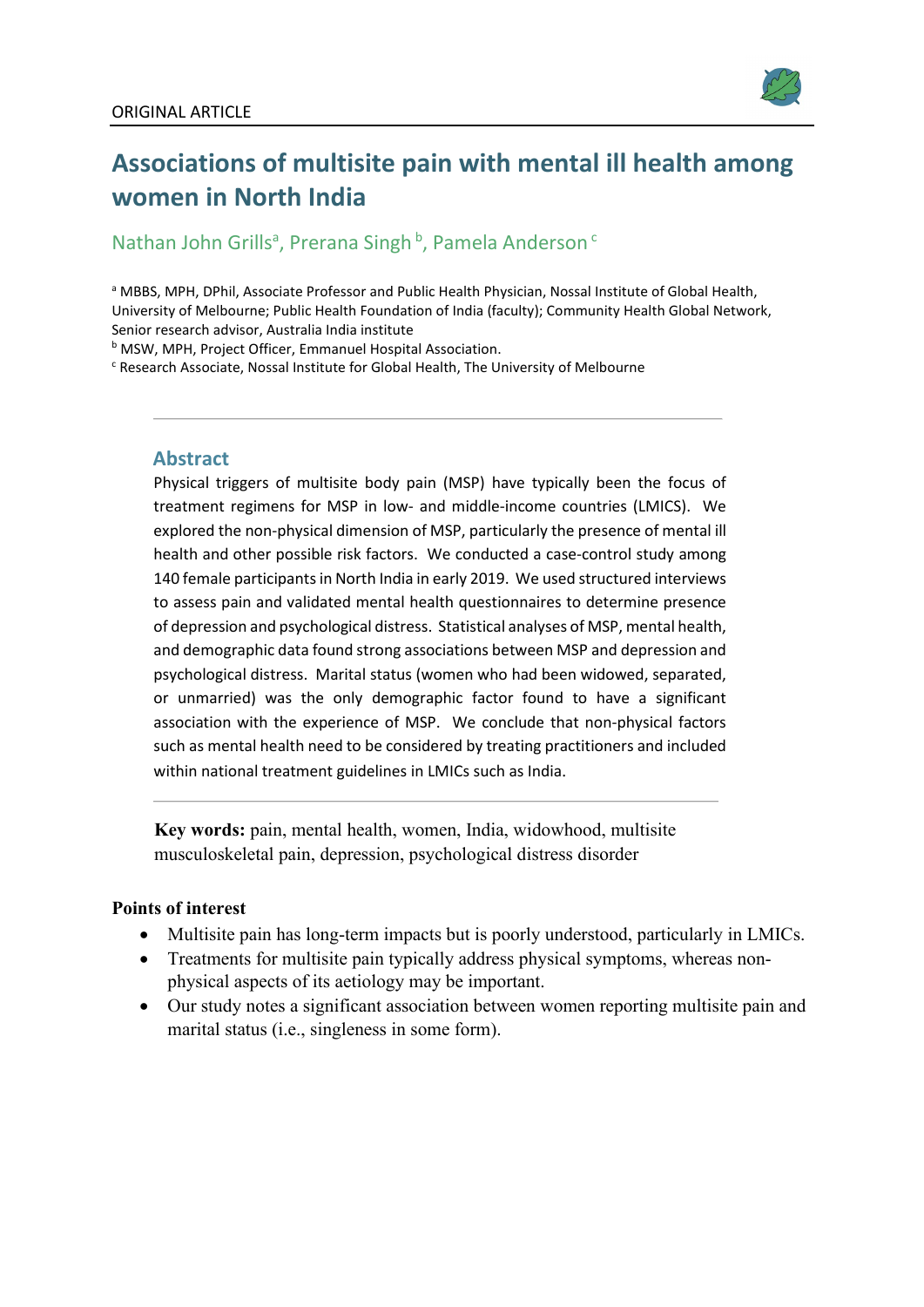

# **Associations of multisite pain with mental ill health among women in North India**

# Nathan John Grills<sup>a</sup>, Prerana Singh <sup>b</sup>, Pamela Anderson<sup>c</sup>

a MBBS, MPH, DPhil, Associate Professor and Public Health Physician, Nossal Institute of Global Health, University of Melbourne; Public Health Foundation of India (faculty); Community Health Global Network, Senior research advisor, Australia India institute<br><sup>b</sup> MSW, MPH, Project Officer, Emmanuel Hospital Association.<br><sup>c</sup> Research Associate, Nossal Institute for Global Health, The University of Melbourne

# **Abstract**

Physical triggers of multisite body pain (MSP) have typically been the focus of treatment regimens for MSP in low- and middle-income countries (LMICS). We explored the non-physical dimension of MSP, particularly the presence of mental ill health and other possible risk factors. We conducted a case-control study among 140 female participants in North India in early 2019. We used structured interviews to assess pain and validated mental health questionnaires to determine presence of depression and psychological distress. Statistical analyses of MSP, mental health, and demographic data found strong associations between MSP and depression and psychological distress. Marital status (women who had been widowed, separated, or unmarried) was the only demographic factor found to have a significant association with the experience of MSP. We conclude that non-physical factors such as mental health need to be considered by treating practitioners and included within national treatment guidelines in LMICs such as India.

**Key words:** pain, mental health, women, India, widowhood, multisite musculoskeletal pain, depression, psychological distress disorder

# **Points of interest**

- Multisite pain has long-term impacts but is poorly understood, particularly in LMICs.
- Treatments for multisite pain typically address physical symptoms, whereas nonphysical aspects of its aetiology may be important.
- Our study notes a significant association between women reporting multisite pain and marital status (i.e., singleness in some form).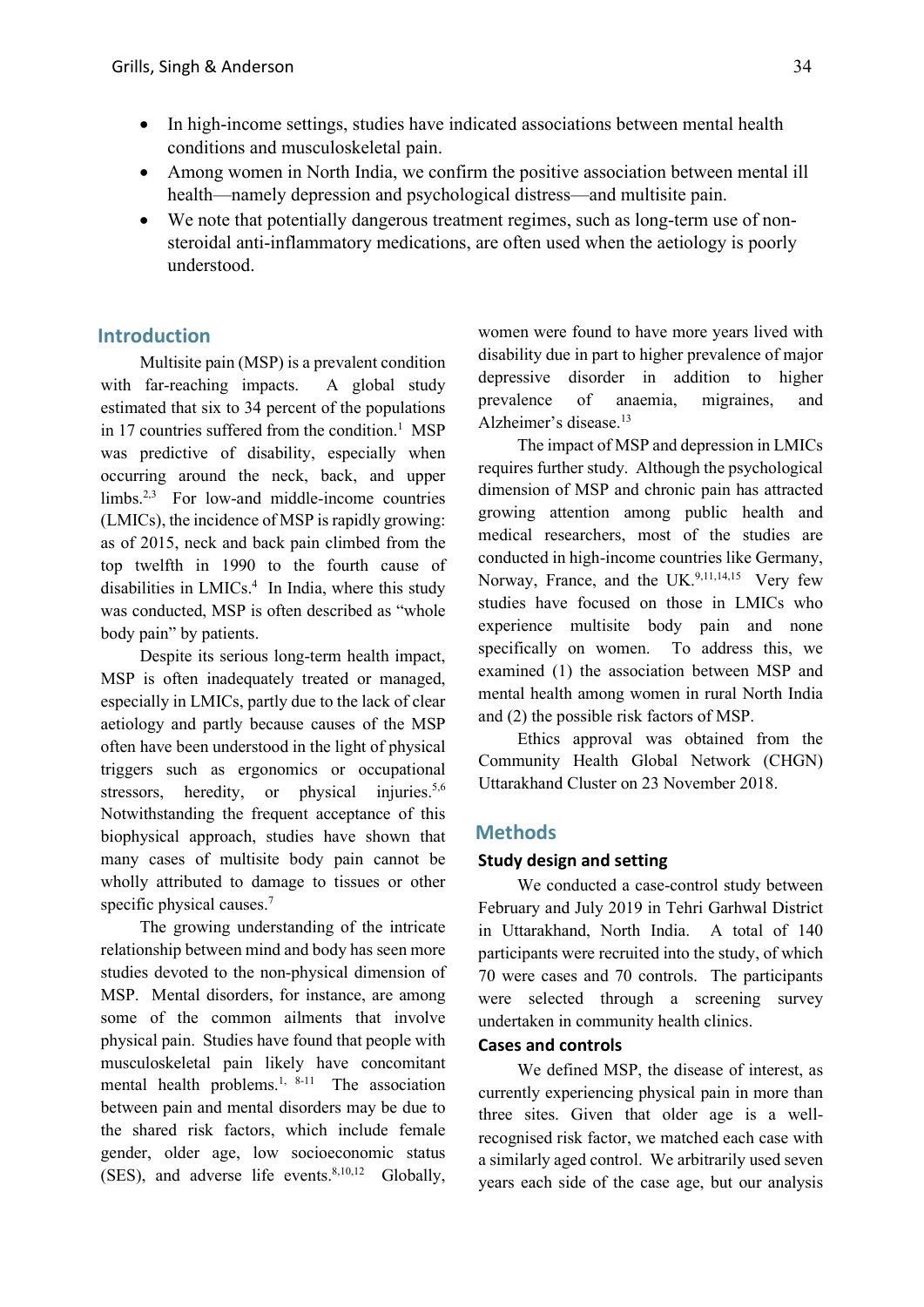- In high-income settings, studies have indicated associations between mental health conditions and musculoskeletal pain.
- Among women in North India, we confirm the positive association between mental ill health—namely depression and psychological distress—and multisite pain.
- We note that potentially dangerous treatment regimes, such as long-term use of nonsteroidal anti-inflammatory medications, are often used when the aetiology is poorly understood.

# **Introduction**

Multisite pain (MSP) is a prevalent condition with far-reaching impacts. A global study estimated that six to 34 percent of the populations in 17 countries suffered from the condition. <sup>1</sup> MSP was predictive of disability, especially when occurring around the neck, back, and upper limbs. 2,3 For low-and middle-income countries (LMICs), the incidence of MSP is rapidly growing: as of 2015, neck and back pain climbed from the top twelfth in 1990 to the fourth cause of disabilities in LMICs. <sup>4</sup> In India, where this study was conducted, MSP is often described as "whole body pain" by patients.

Despite its serious long-term health impact, MSP is often inadequately treated or managed, especially in LMICs, partly due to the lack of clear aetiology and partly because causes of the MSP often have been understood in the light of physical triggers such as ergonomics or occupational stressors, heredity, or physical injuries.<sup>5,6</sup> Notwithstanding the frequent acceptance of this biophysical approach, studies have shown that many cases of multisite body pain cannot be wholly attributed to damage to tissues or other specific physical causes. 7

The growing understanding of the intricate relationship between mind and body has seen more studies devoted to the non-physical dimension of MSP. Mental disorders, for instance, are among some of the common ailments that involve physical pain. Studies have found that people with musculoskeletal pain likely have concomitant mental health problems.<sup>1, 8-11</sup> The association between pain and mental disorders may be due to the shared risk factors, which include female gender, older age, low socioeconomic status (SES), and adverse life events.  $8,10,12$  Globally,

women were found to have more years lived with disability due in part to higher prevalence of major depressive disorder in addition to higher prevalence of anaemia, migraines, and Alzheimer's disease. 13

The impact of MSP and depression in LMICs requires further study. Although the psychological dimension of MSP and chronic pain has attracted growing attention among public health and medical researchers, most of the studies are conducted in high-income countries like Germany, Norway, France, and the UK.<sup>9,11,14,15</sup> Very few studies have focused on those in LMICs who experience multisite body pain and none specifically on women. To address this, we examined (1) the association between MSP and mental health among women in rural North India and (2) the possible risk factors of MSP.

Ethics approval was obtained from the Community Health Global Network (CHGN) Uttarakhand Cluster on 23 November 2018.

#### **Methods**

#### **Study design and setting**

We conducted a case-control study between February and July 2019 in Tehri Garhwal District in Uttarakhand, North India. A total of 140 participants were recruited into the study, of which 70 were cases and 70 controls. The participants were selected through a screening survey undertaken in community health clinics.

#### **Cases and controls**

We defined MSP, the disease of interest, as currently experiencing physical pain in more than three sites. Given that older age is a wellrecognised risk factor, we matched each case with a similarly aged control. We arbitrarily used seven years each side of the case age, but our analysis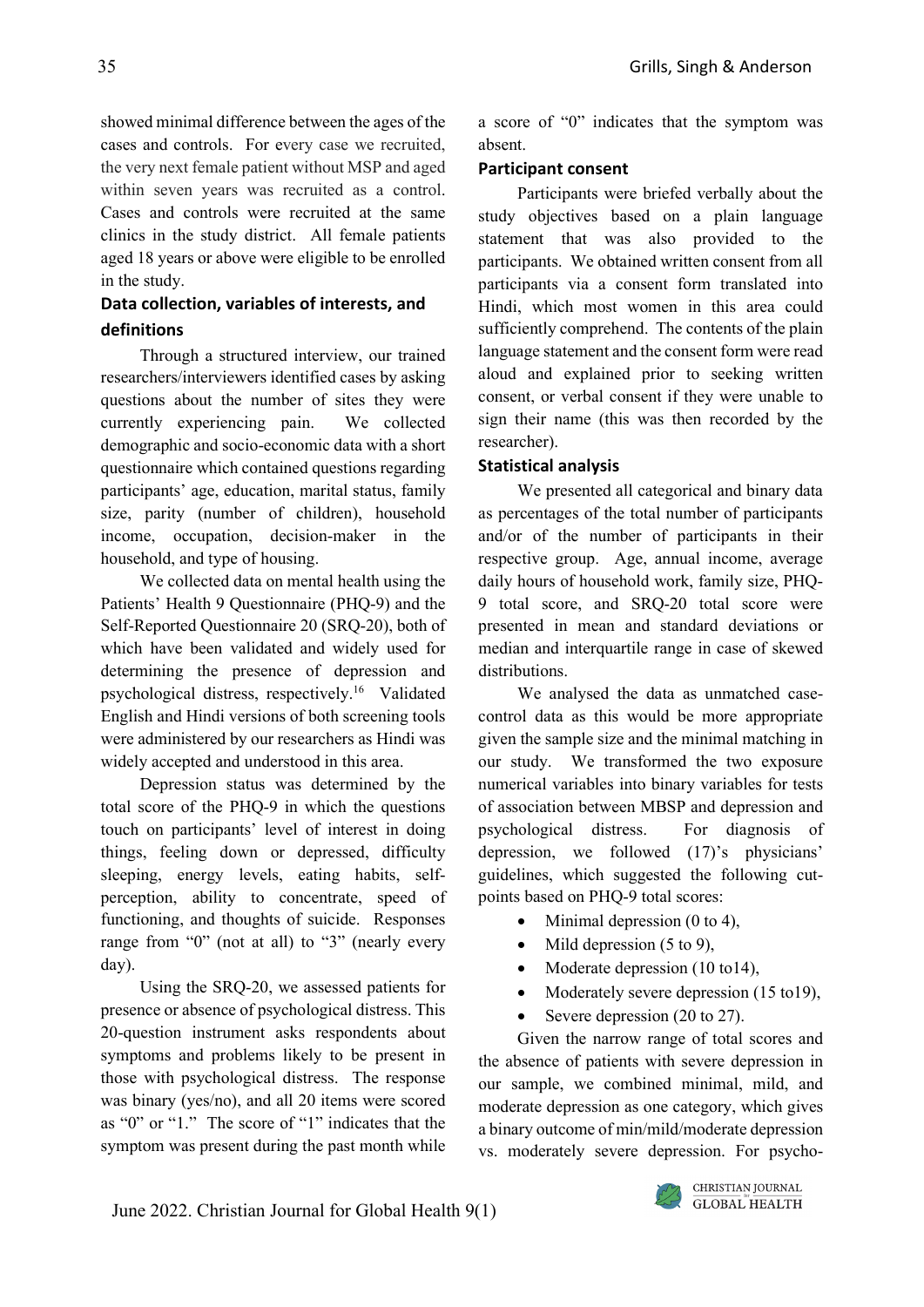showed minimal difference between the ages of the cases and controls. For every case we recruited, the very next female patient without MSP and aged within seven years was recruited as a control. Cases and controls were recruited at the same clinics in the study district. All female patients aged 18 years or above were eligible to be enrolled in the study.

# **Data collection, variables of interests, and definitions**

Through a structured interview, our trained researchers/interviewers identified cases by asking questions about the number of sites they were currently experiencing pain. We collected demographic and socio-economic data with a short questionnaire which contained questions regarding participants' age, education, marital status, family size, parity (number of children), household income, occupation, decision-maker in the household, and type of housing.

We collected data on mental health using the Patients' Health 9 Questionnaire (PHQ-9) and the Self-Reported Questionnaire 20 (SRQ-20), both of which have been validated and widely used for determining the presence of depression and psychological distress, respectively. <sup>16</sup> Validated English and Hindi versions of both screening tools were administered by our researchers as Hindi was widely accepted and understood in this area.

Depression status was determined by the total score of the PHQ-9 in which the questions touch on participants' level of interest in doing things, feeling down or depressed, difficulty sleeping, energy levels, eating habits, selfperception, ability to concentrate, speed of functioning, and thoughts of suicide. Responses range from "0" (not at all) to "3" (nearly every day).

Using the SRQ-20, we assessed patients for presence or absence of psychological distress. This 20-question instrument asks respondents about symptoms and problems likely to be present in those with psychological distress. The response was binary (yes/no), and all 20 items were scored as "0" or "1." The score of "1" indicates that the symptom was present during the past month while

a score of "0" indicates that the symptom was absent.

# **Participant consent**

Participants were briefed verbally about the study objectives based on a plain language statement that was also provided to the participants. We obtained written consent from all participants via a consent form translated into Hindi, which most women in this area could sufficiently comprehend. The contents of the plain language statement and the consent form were read aloud and explained prior to seeking written consent, or verbal consent if they were unable to sign their name (this was then recorded by the researcher).

# **Statistical analysis**

We presented all categorical and binary data as percentages of the total number of participants and/or of the number of participants in their respective group. Age, annual income, average daily hours of household work, family size, PHQ-9 total score, and SRQ-20 total score were presented in mean and standard deviations or median and interquartile range in case of skewed distributions.

We analysed the data as unmatched casecontrol data as this would be more appropriate given the sample size and the minimal matching in our study. We transformed the two exposure numerical variables into binary variables for tests of association between MBSP and depression and psychological distress. For diagnosis of depression, we followed (17)'s physicians' guidelines, which suggested the following cutpoints based on PHQ-9 total scores:

- Minimal depression  $(0 \text{ to } 4)$ ,
- Mild depression  $(5 \text{ to } 9)$ ,
- Moderate depression (10 to14),
- Moderately severe depression (15 to 19),
- Severe depression (20 to 27).

Given the narrow range of total scores and the absence of patients with severe depression in our sample, we combined minimal, mild, and moderate depression as one category, which gives a binary outcome of min/mild/moderate depression vs. moderately severe depression. For psycho-

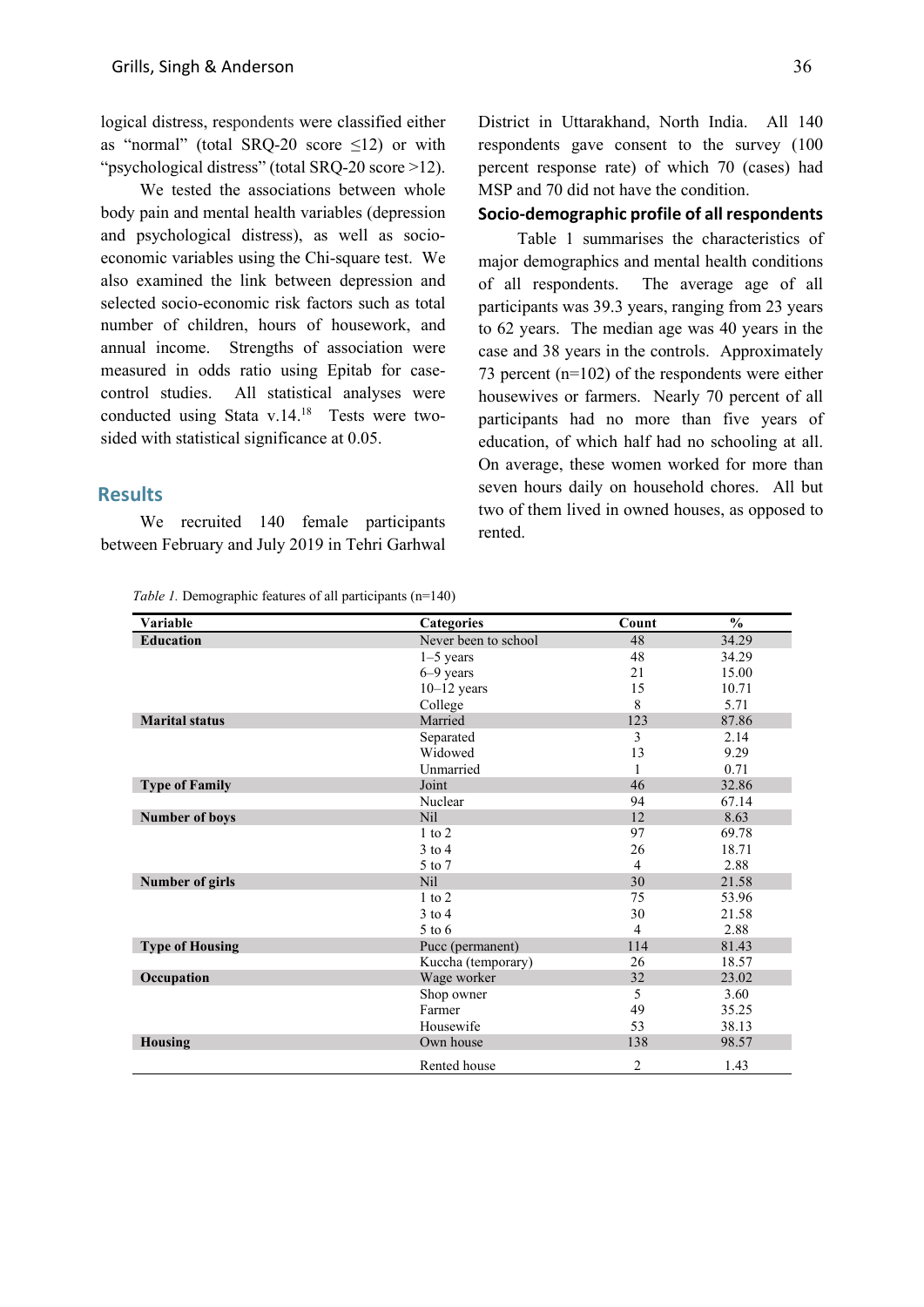logical distress, respondents were classified either as "normal" (total SRQ-20 score  $\leq$ 12) or with "psychological distress" (total SRQ-20 score >12).

We tested the associations between whole body pain and mental health variables (depression and psychological distress), as well as socioeconomic variables using the Chi-square test. We also examined the link between depression and selected socio-economic risk factors such as total number of children, hours of housework, and annual income. Strengths of association were measured in odds ratio using Epitab for casecontrol studies. All statistical analyses were conducted using Stata v.14. <sup>18</sup> Tests were twosided with statistical significance at 0.05.

# **Results**

We recruited 140 female participants between February and July 2019 in Tehri Garhwal

*Table 1.* Demographic features of all participants (n=140)

District in Uttarakhand, North India. All 140 respondents gave consent to the survey (100 percent response rate) of which 70 (cases) had MSP and 70 did not have the condition.

#### **Socio-demographic profile of all respondents**

Table 1 summarises the characteristics of major demographics and mental health conditions of all respondents. The average age of all participants was 39.3 years, ranging from 23 years to 62 years. The median age was 40 years in the case and 38 years in the controls. Approximately 73 percent (n=102) of the respondents were either housewives or farmers. Nearly 70 percent of all participants had no more than five years of education, of which half had no schooling at all. On average, these women worked for more than seven hours daily on household chores. All but two of them lived in owned houses, as opposed to rented.

| Variable               | Categories           | Count | $\frac{0}{0}$ |
|------------------------|----------------------|-------|---------------|
| <b>Education</b>       | Never been to school | 48    | 34.29         |
|                        | $1-5$ years          | 48    | 34.29         |
|                        | $6-9$ years          | 21    | 15.00         |
|                        | $10-12$ years        | 15    | 10.71         |
|                        | College              | 8     | 5.71          |
| <b>Marital status</b>  | Married              | 123   | 87.86         |
|                        | Separated            | 3     | 2.14          |
|                        | Widowed              | 13    | 9.29          |
|                        | Unmarried            |       | 0.71          |
| <b>Type of Family</b>  | Joint                | 46    | 32.86         |
|                        | Nuclear              | 94    | 67.14         |
| <b>Number of boys</b>  | N <sub>il</sub>      | 12    | 8.63          |
|                        | $1$ to $2$           | 97    | 69.78         |
|                        | $3$ to $4$           | 26    | 18.71         |
|                        | 5 to 7               | 4     | 2.88          |
| Number of girls        | N <sub>il</sub>      | 30    | 21.58         |
|                        | $1$ to $2$           | 75    | 53.96         |
|                        | $3$ to 4             | 30    | 21.58         |
|                        | $5$ to $6$           | 4     | 2.88          |
| <b>Type of Housing</b> | Pucc (permanent)     | 114   | 81.43         |
|                        | Kuccha (temporary)   | 26    | 18.57         |
| Occupation             | Wage worker          | 32    | 23.02         |
|                        | Shop owner           | 5     | 3.60          |
|                        | Farmer               | 49    | 35.25         |
|                        | Housewife            | 53    | 38.13         |
| <b>Housing</b>         | Own house            | 138   | 98.57         |
|                        | Rented house         | 2     | 1.43          |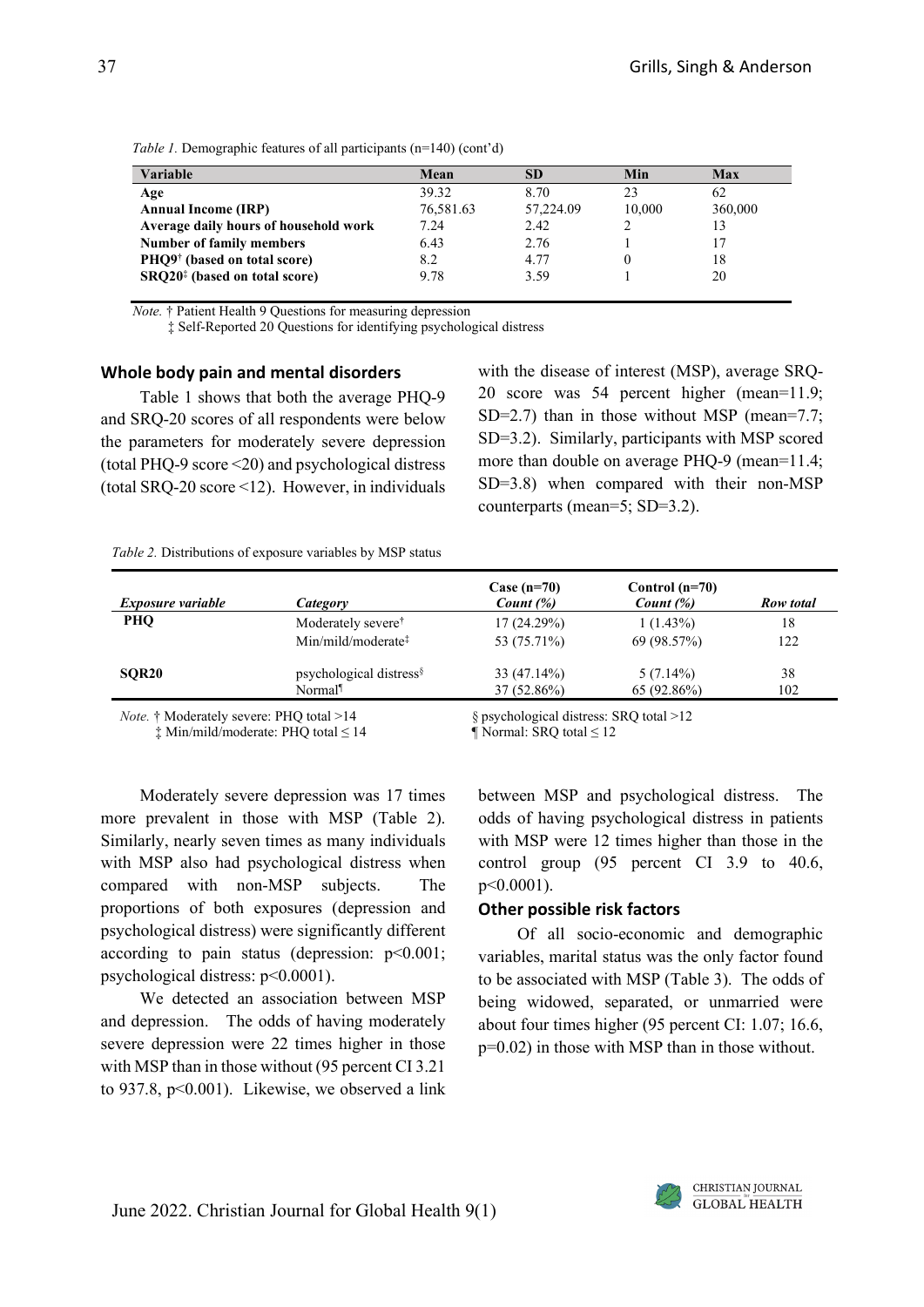| Variable                                  | Mean      | SD.       | Min    | Max     |
|-------------------------------------------|-----------|-----------|--------|---------|
| Age                                       | 39.32     | 8.70      | 23     | 62      |
| <b>Annual Income (IRP)</b>                | 76,581.63 | 57,224.09 | 10.000 | 360,000 |
| Average daily hours of household work     | 7.24      | 2.42      |        | 13      |
| <b>Number of family members</b>           | 6.43      | 2.76      |        | 17      |
| PHQ9 <sup>†</sup> (based on total score)  | 8.2       | 4.77      |        | 18      |
| SRQ20 <sup>‡</sup> (based on total score) | 9.78      | 3.59      |        | 20      |

*Table 1.* Demographic features of all participants (n=140) (cont'd)

*Note.* † Patient Health 9 Questions for measuring depression

‡ Self-Reported 20 Questions for identifying psychological distress

#### **Whole body pain and mental disorders**

Table 1 shows that both the average PHQ-9 and SRQ-20 scores of all respondents were below the parameters for moderately severe depression (total PHQ-9 score <20) and psychological distress (total SRQ-20 score <12). However, in individuals with the disease of interest (MSP), average SRQ-20 score was 54 percent higher (mean=11.9; SD=2.7) than in those without MSP (mean=7.7; SD=3.2). Similarly, participants with MSP scored more than double on average PHQ-9 (mean=11.4; SD=3.8) when compared with their non-MSP counterparts (mean=5; SD=3.2).

| Table 2. Distributions of exposure variables by MSP status |  |
|------------------------------------------------------------|--|
|------------------------------------------------------------|--|

| <i>Exposure variable</i> | Category                                             | Case $(n=70)$<br>Count $(\%)$ | Control $(n=70)$<br>Count $(\%)$ | Row total |
|--------------------------|------------------------------------------------------|-------------------------------|----------------------------------|-----------|
| PHO                      | Moderately severe <sup>†</sup>                       | 17(24.29%)                    | $1(1.43\%)$                      | 18        |
|                          | $Min/mild/moderate$ <sup><math>\ddagger</math></sup> | 53 (75.71%)                   | 69 (98.57%)                      | 122       |
| SOR <sub>20</sub>        | psychological distress <sup>§</sup>                  | 33 (47.14%)                   | $5(7.14\%)$                      | 38        |
|                          | Normal                                               | $37(52.86\%)$                 | 65(92.86%)                       | 102       |

 $\ddagger$  Min/mild/moderate: PHO total  $\leq$  14

*Note.* † Moderately severe: PHQ total >14 § psychological distress: SRQ total >12  $\pm$  Min/mild/moderate: PHQ total  $\leq$  14 § Mormal: SRQ total  $\leq$  12

Moderately severe depression was 17 times more prevalent in those with MSP (Table 2). Similarly, nearly seven times as many individuals with MSP also had psychological distress when compared with non-MSP subjects. The proportions of both exposures (depression and psychological distress) were significantly different according to pain status (depression:  $p<0.001$ ; psychological distress: p<0.0001).

We detected an association between MSP and depression. The odds of having moderately severe depression were 22 times higher in those with MSP than in those without (95 percent CI 3.21 to 937.8,  $p<0.001$ ). Likewise, we observed a link between MSP and psychological distress. The odds of having psychological distress in patients with MSP were 12 times higher than those in the control group (95 percent CI 3.9 to 40.6, p<0.0001).

#### **Other possible risk factors**

Of all socio-economic and demographic variables, marital status was the only factor found to be associated with MSP (Table 3). The odds of being widowed, separated, or unmarried were about four times higher (95 percent CI: 1.07; 16.6, p=0.02) in those with MSP than in those without.

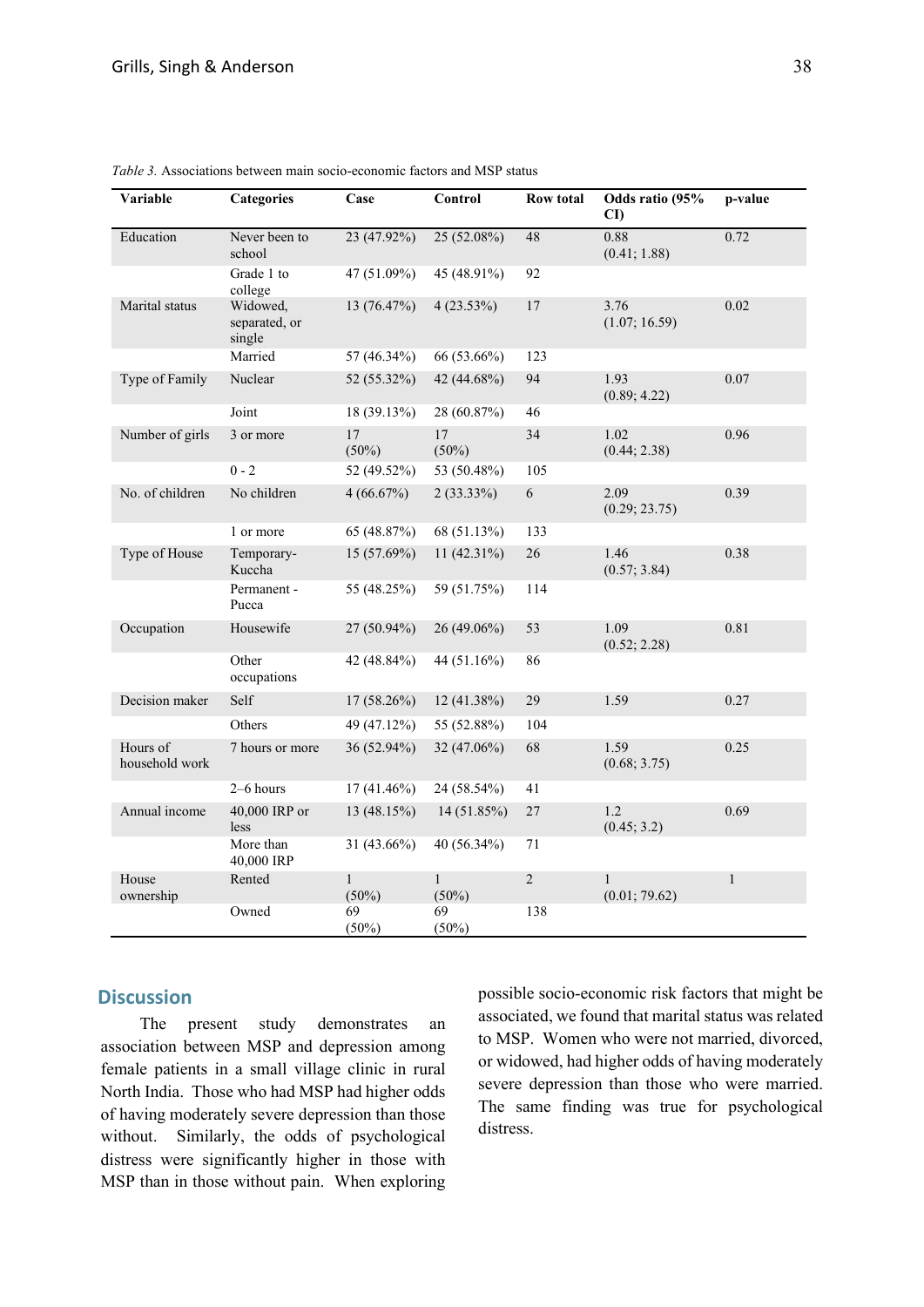| Variable                   | <b>Categories</b>                   | Case                     | Control                  | <b>Row total</b> | Odds ratio (95%<br>CD         | p-value      |
|----------------------------|-------------------------------------|--------------------------|--------------------------|------------------|-------------------------------|--------------|
| Education                  | Never been to<br>school             | 23 (47.92%)              | 25 (52.08%)              | 48               | 0.88<br>(0.41; 1.88)          | 0.72         |
|                            | Grade 1 to<br>college               | 47 (51.09%)              | 45 (48.91%)              | 92               |                               |              |
| Marital status             | Widowed.<br>separated, or<br>single | 13 (76.47%)              | 4(23.53%)                | 17               | 3.76<br>(1.07; 16.59)         | 0.02         |
|                            | Married                             | 57 (46.34%)              | 66 (53.66%)              | 123              |                               |              |
| Type of Family             | Nuclear                             | 52 (55.32%)              | 42 (44.68%)              | 94               | 1.93<br>(0.89; 4.22)          | 0.07         |
|                            | Joint                               | 18 (39.13%)              | 28 (60.87%)              | 46               |                               |              |
| Number of girls            | 3 or more                           | 17<br>$(50\%)$           | 17<br>$(50\%)$           | 34               | 1.02<br>(0.44; 2.38)          | 0.96         |
|                            | $0 - 2$                             | 52 (49.52%)              | 53 (50.48%)              | 105              |                               |              |
| No. of children            | No children                         | 4(66.67%)                | 2(33.33%)                | 6                | 2.09<br>(0.29; 23.75)         | 0.39         |
|                            | 1 or more                           | 65 (48.87%)              | 68 (51.13%)              | 133              |                               |              |
| Type of House              | Temporary-<br>Kuccha                | 15 (57.69%)              | 11 (42.31%)              | 26               | 1.46<br>(0.57; 3.84)          | 0.38         |
|                            | Permanent -<br>Pucca                | 55 (48.25%)              | 59 (51.75%)              | 114              |                               |              |
| Occupation                 | Housewife                           | 27 (50.94%)              | 26 (49.06%)              | 53               | 1.09<br>(0.52; 2.28)          | 0.81         |
|                            | Other<br>occupations                | 42 (48.84%)              | 44 (51.16%)              | 86               |                               |              |
| Decision maker             | Self                                | 17 (58.26%)              | 12 (41.38%)              | 29               | 1.59                          | 0.27         |
|                            | Others                              | 49 (47.12%)              | 55 (52.88%)              | 104              |                               |              |
| Hours of<br>household work | 7 hours or more                     | 36 (52.94%)              | 32 (47.06%)              | 68               | 1.59<br>(0.68; 3.75)          | 0.25         |
|                            | $2-6$ hours                         | 17 (41.46%)              | 24 (58.54%)              | 41               |                               |              |
| Annual income              | 40,000 IRP or<br>less               | 13 (48.15%)              | 14 (51.85%)              | 27               | 1.2<br>(0.45; 3.2)            | 0.69         |
|                            | More than<br>40,000 IRP             | 31 (43.66%)              | 40 (56.34%)              | 71               |                               |              |
| House<br>ownership         | Rented                              | $\mathbf{1}$<br>$(50\%)$ | $\mathbf{1}$<br>$(50\%)$ | $\overline{2}$   | $\mathbf{1}$<br>(0.01; 79.62) | $\mathbf{1}$ |
|                            | Owned                               | 69<br>(50%)              | 69<br>(50%)              | 138              |                               |              |

*Table 3.* Associations between main socio-economic factors and MSP status

# **Discussion**

The present study demonstrates an association between MSP and depression among female patients in a small village clinic in rural North India. Those who had MSP had higher odds of having moderately severe depression than those without. Similarly, the odds of psychological distress were significantly higher in those with MSP than in those without pain. When exploring possible socio-economic risk factors that might be associated, we found that marital status was related to MSP. Women who were not married, divorced, or widowed, had higher odds of having moderately severe depression than those who were married. The same finding was true for psychological distress.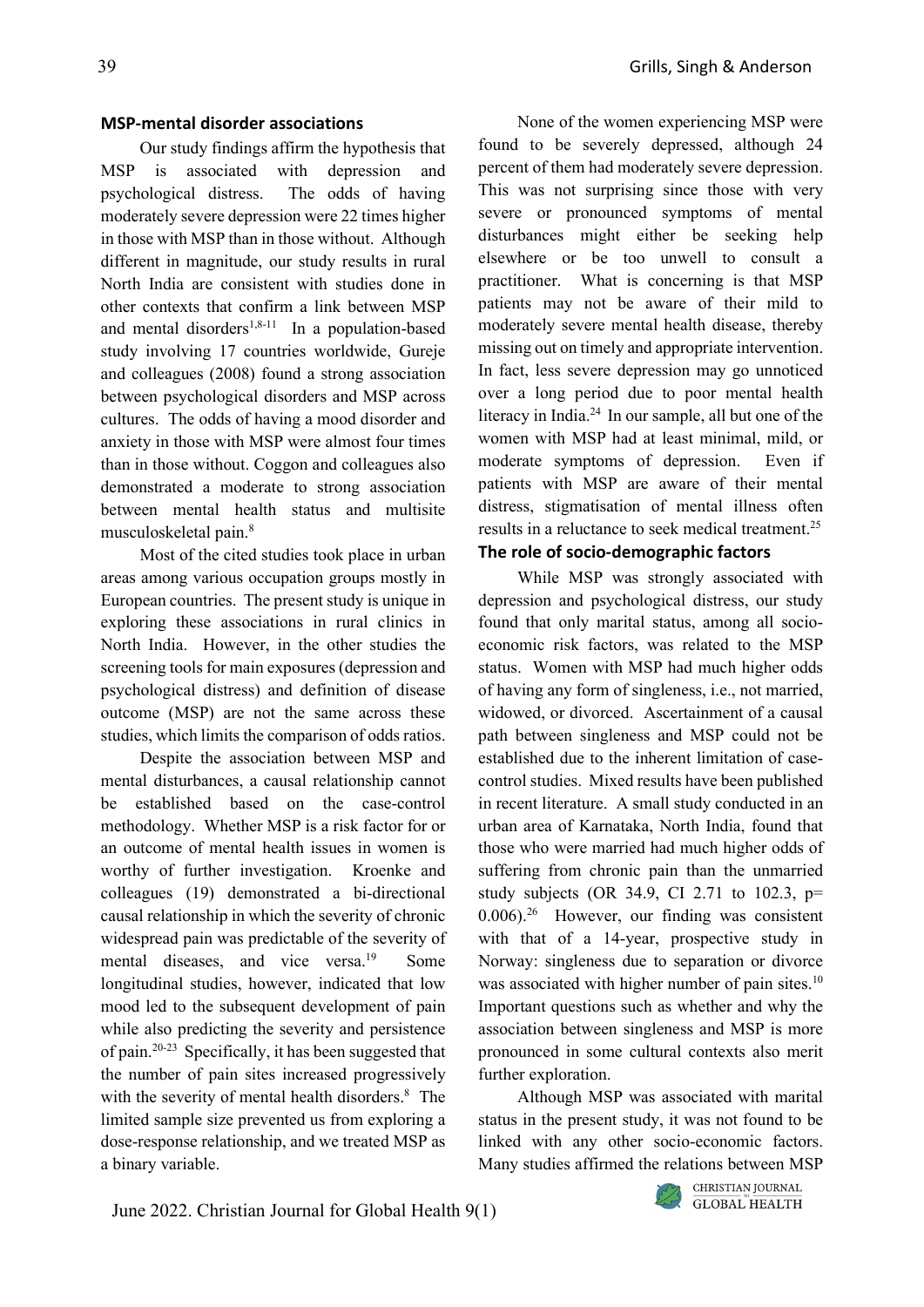#### **MSP-mental disorder associations**

Our study findings affirm the hypothesis that MSP is associated with depression and psychological distress. The odds of having moderately severe depression were 22 times higher in those with MSP than in those without. Although different in magnitude, our study results in rural North India are consistent with studies done in other contexts that confirm a link between MSP and mental disorders<sup>1,8-11</sup> In a population-based study involving 17 countries worldwide, Gureje and colleagues (2008) found a strong association between psychological disorders and MSP across cultures. The odds of having a mood disorder and anxiety in those with MSP were almost four times than in those without. Coggon and colleagues also demonstrated a moderate to strong association between mental health status and multisite musculoskeletal pain.8

Most of the cited studies took place in urban areas among various occupation groups mostly in European countries. The present study is unique in exploring these associations in rural clinics in North India. However, in the other studies the screening tools for main exposures (depression and psychological distress) and definition of disease outcome (MSP) are not the same across these studies, which limits the comparison of odds ratios.

Despite the association between MSP and mental disturbances, a causal relationship cannot be established based on the case-control methodology. Whether MSP is a risk factor for or an outcome of mental health issues in women is worthy of further investigation. Kroenke and colleagues (19) demonstrated a bi-directional causal relationship in which the severity of chronic widespread pain was predictable of the severity of mental diseases, and vice versa.<sup>19</sup> Some longitudinal studies, however, indicated that low mood led to the subsequent development of pain while also predicting the severity and persistence of pain.20-23 Specifically, it has been suggested that the number of pain sites increased progressively with the severity of mental health disorders. <sup>8</sup> The limited sample size prevented us from exploring a dose-response relationship, and we treated MSP as a binary variable.

None of the women experiencing MSP were found to be severely depressed, although 24 percent of them had moderately severe depression. This was not surprising since those with very severe or pronounced symptoms of mental disturbances might either be seeking help elsewhere or be too unwell to consult a practitioner. What is concerning is that MSP patients may not be aware of their mild to moderately severe mental health disease, thereby missing out on timely and appropriate intervention. In fact, less severe depression may go unnoticed over a long period due to poor mental health literacy in India. <sup>24</sup> In our sample, all but one of the women with MSP had at least minimal, mild, or moderate symptoms of depression. Even if patients with MSP are aware of their mental distress, stigmatisation of mental illness often results in a reluctance to seek medical treatment. 25

# **The role of socio-demographic factors**

While MSP was strongly associated with depression and psychological distress, our study found that only marital status, among all socioeconomic risk factors, was related to the MSP status. Women with MSP had much higher odds of having any form of singleness, i.e., not married, widowed, or divorced. Ascertainment of a causal path between singleness and MSP could not be established due to the inherent limitation of casecontrol studies. Mixed results have been published in recent literature. A small study conducted in an urban area of Karnataka, North India, found that those who were married had much higher odds of suffering from chronic pain than the unmarried study subjects (OR 34.9, CI 2.71 to 102.3, p= 0.006). <sup>26</sup> However, our finding was consistent with that of a 14-year, prospective study in Norway: singleness due to separation or divorce was associated with higher number of pain sites.<sup>10</sup> Important questions such as whether and why the association between singleness and MSP is more pronounced in some cultural contexts also merit further exploration.

Although MSP was associated with marital status in the present study, it was not found to be linked with any other socio-economic factors. Many studies affirmed the relations between MSP

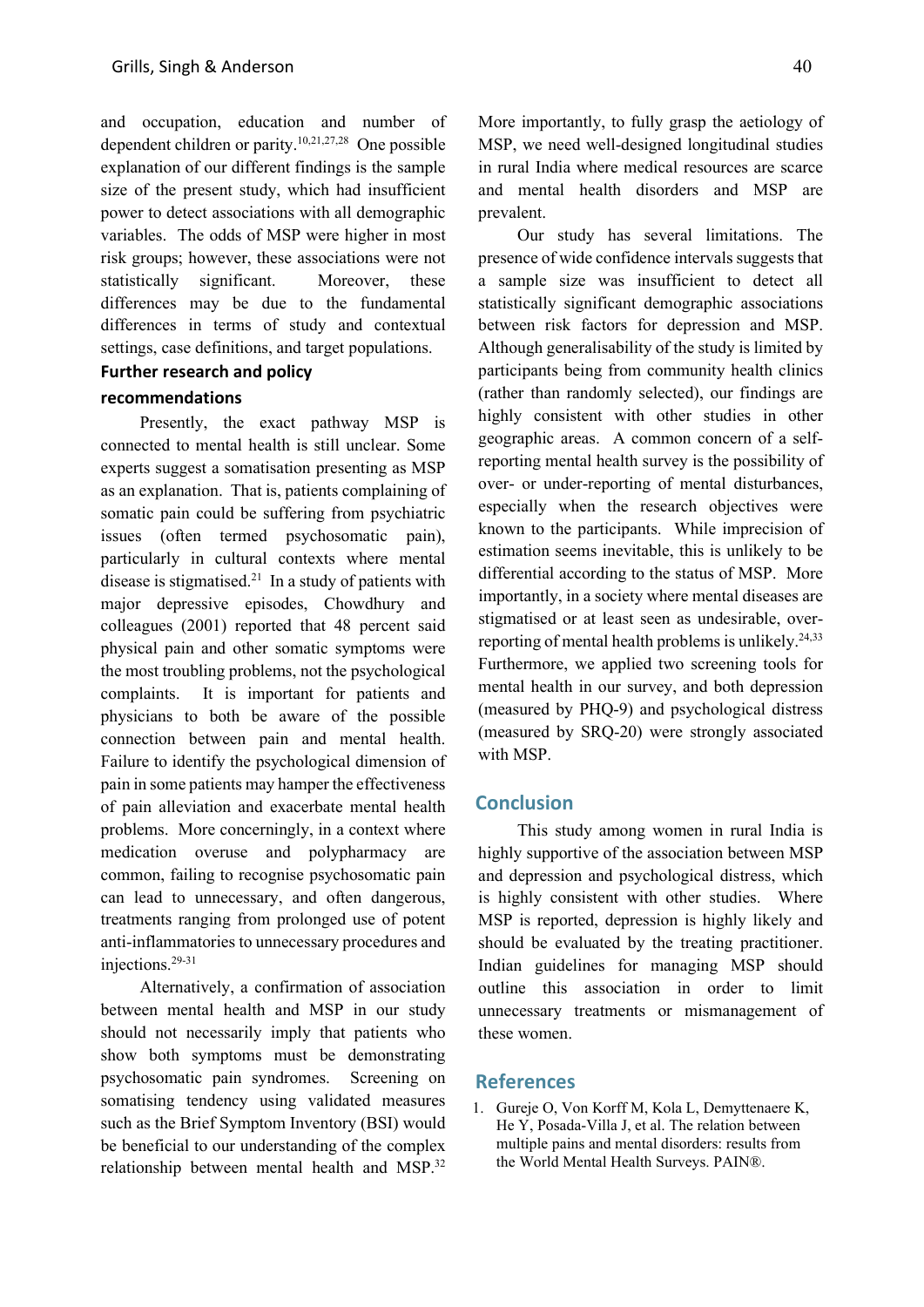and occupation, education and number of dependent children or parity. 10,21,27,28 One possible explanation of our different findings is the sample size of the present study, which had insufficient power to detect associations with all demographic variables. The odds of MSP were higher in most risk groups; however, these associations were not statistically significant. Moreover, these differences may be due to the fundamental differences in terms of study and contextual settings, case definitions, and target populations.

# **Further research and policy**

# **recommendations**

Presently, the exact pathway MSP is connected to mental health is still unclear. Some experts suggest a somatisation presenting as MSP as an explanation. That is, patients complaining of somatic pain could be suffering from psychiatric issues (often termed psychosomatic pain), particularly in cultural contexts where mental disease is stigmatised. <sup>21</sup> In a study of patients with major depressive episodes, Chowdhury and colleagues (2001) reported that 48 percent said physical pain and other somatic symptoms were the most troubling problems, not the psychological complaints. It is important for patients and physicians to both be aware of the possible connection between pain and mental health. Failure to identify the psychological dimension of pain in some patients may hamper the effectiveness of pain alleviation and exacerbate mental health problems. More concerningly, in a context where medication overuse and polypharmacy are common, failing to recognise psychosomatic pain can lead to unnecessary, and often dangerous, treatments ranging from prolonged use of potent anti-inflammatories to unnecessary procedures and injections.29-31

Alternatively, a confirmation of association between mental health and MSP in our study should not necessarily imply that patients who show both symptoms must be demonstrating psychosomatic pain syndromes. Screening on somatising tendency using validated measures such as the Brief Symptom Inventory (BSI) would be beneficial to our understanding of the complex relationship between mental health and MSP.<sup>32</sup>

More importantly, to fully grasp the aetiology of MSP, we need well-designed longitudinal studies in rural India where medical resources are scarce and mental health disorders and MSP are prevalent.

Our study has several limitations. The presence of wide confidence intervals suggests that a sample size was insufficient to detect all statistically significant demographic associations between risk factors for depression and MSP. Although generalisability of the study is limited by participants being from community health clinics (rather than randomly selected), our findings are highly consistent with other studies in other geographic areas. A common concern of a selfreporting mental health survey is the possibility of over- or under-reporting of mental disturbances, especially when the research objectives were known to the participants. While imprecision of estimation seems inevitable, this is unlikely to be differential according to the status of MSP. More importantly, in a society where mental diseases are stigmatised or at least seen as undesirable, overreporting of mental health problems is unlikely.24,33 Furthermore, we applied two screening tools for mental health in our survey, and both depression (measured by PHQ-9) and psychological distress (measured by SRQ-20) were strongly associated with MSP.

#### **Conclusion**

This study among women in rural India is highly supportive of the association between MSP and depression and psychological distress, which is highly consistent with other studies. Where MSP is reported, depression is highly likely and should be evaluated by the treating practitioner. Indian guidelines for managing MSP should outline this association in order to limit unnecessary treatments or mismanagement of these women.

#### **References**

1. Gureje O, Von Korff M, Kola L, Demyttenaere K, He Y, Posada-Villa J, et al. The relation between multiple pains and mental disorders: results from the World Mental Health Surveys. PAIN®.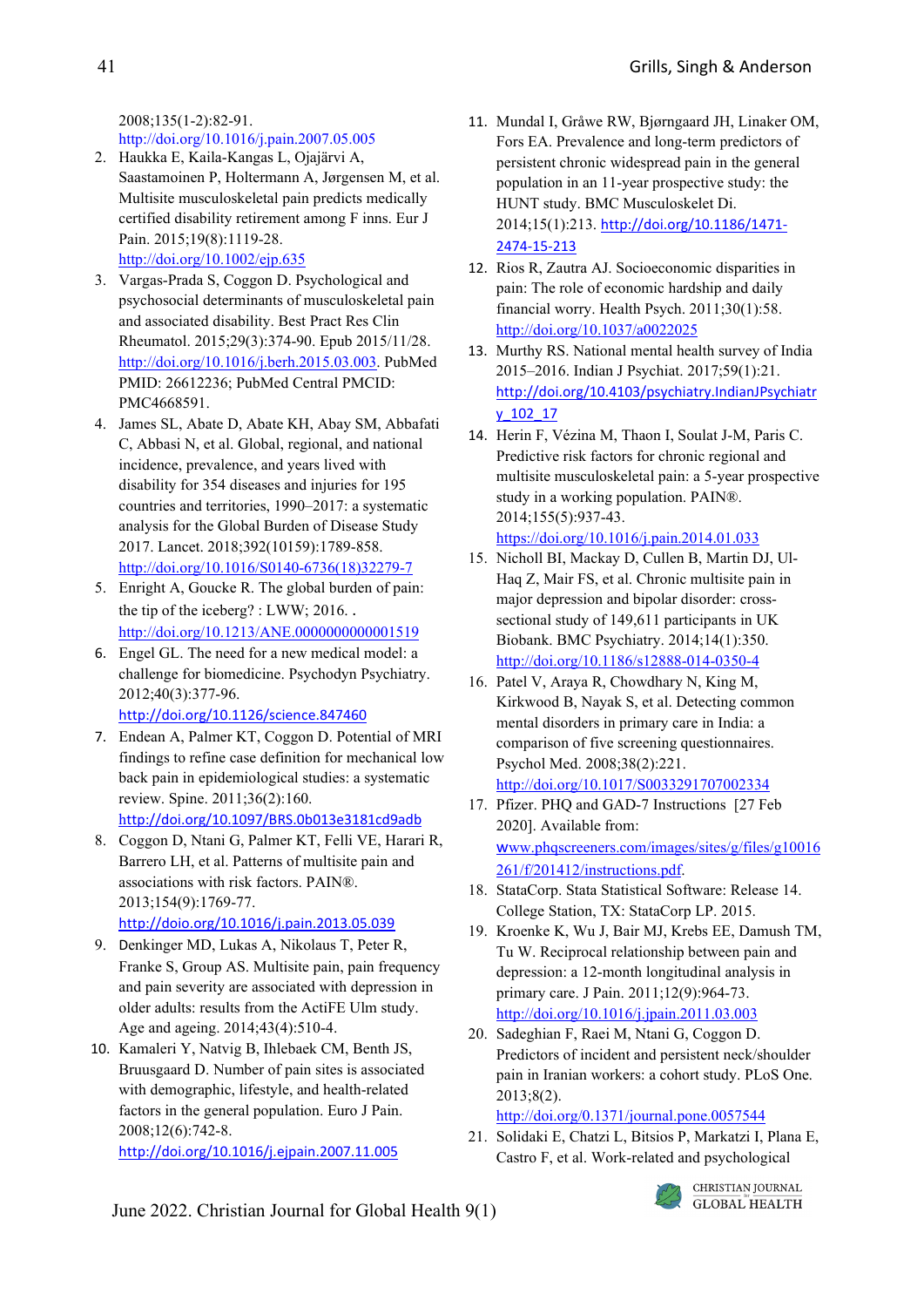2008;135(1-2):82-91. http://doi.org/10.1016/j.pain.2007.05.005

- 2. Haukka E, Kaila‐Kangas L, Ojajärvi A, Saastamoinen P, Holtermann A, Jørgensen M, et al. Multisite musculoskeletal pain predicts medically certified disability retirement among F inns. Eur J Pain. 2015;19(8):1119-28. <http://doi.org/10.1002/ejp.635>
- 3. Vargas-Prada S, Coggon D. Psychological and psychosocial determinants of musculoskeletal pain and associated disability. Best Pract Res Clin Rheumatol. 2015;29(3):374-90. Epub 2015/11/28. [http://doi.org/10.1016/j.berh.2015.03.003.](http://doi.org/10.1016/j.berh.2015.03.003) PubMed PMID: 26612236; PubMed Central PMCID: PMC4668591.
- 4. James SL, Abate D, Abate KH, Abay SM, Abbafati C, Abbasi N, et al. Global, regional, and national incidence, prevalence, and years lived with disability for 354 diseases and injuries for 195 countries and territories, 1990–2017: a systematic analysis for the Global Burden of Disease Study 2017. Lancet. 2018;392(10159):1789-858. [http://doi.org/10.1016/S0140-6736\(18\)32279-7](http://doi.org/10.1016/S0140-6736(18)32279-7)
- 5. Enright A, Goucke R. The global burden of pain: the tip of the iceberg? : LWW; 2016. . <http://doi.org/10.1213/ANE.0000000000001519>
- 6. Engel GL. The need for a new medical model: a challenge for biomedicine. Psychodyn Psychiatry. 2012;40(3):377-96. <http://doi.org/10.1126/science.847460>
- 7. Endean A, Palmer KT, Coggon D. Potential of MRI findings to refine case definition for mechanical low back pain in epidemiological studies: a systematic review. Spine. 2011;36(2):160. h[ttp://doi.org/10.1097/BRS.0b013e3181cd9adb](http://doi.org/10.1097/BRS.0b013e3181cd9adb)
- 8. Coggon D, Ntani G, Palmer KT, Felli VE, Harari R, Barrero LH, et al. Patterns of multisite pain and associations with risk factors. PAIN®. 2013;154(9):1769-77. <http://doio.org/10.1016/j.pain.2013.05.039>
- 9. Denkinger MD, Lukas A, Nikolaus T, Peter R, Franke S, Group AS. Multisite pain, pain frequency and pain severity are associated with depression in older adults: results from the ActiFE Ulm study. Age and ageing. 2014;43(4):510-4.
- 10. Kamaleri Y, Natvig B, Ihlebaek CM, Benth JS, Bruusgaard D. Number of pain sites is associated with demographic, lifestyle, and health‐related factors in the general population. Euro J Pain. 2008;12(6):742-8.

<http://doi.org/10.1016/j.ejpain.2007.11.005>

- 11. Mundal I, Gråwe RW, Bjørngaard JH, Linaker OM, Fors EA. Prevalence and long-term predictors of persistent chronic widespread pain in the general population in an 11-year prospective study: the HUNT study. BMC Musculoskelet Di. 2014;15(1):213. [http://doi.org/10.1186/1471-](http://doi.org/10.1186/1471-2474-15-213) [2474-15-213](http://doi.org/10.1186/1471-2474-15-213)
- 12. Rios R, Zautra AJ. Socioeconomic disparities in pain: The role of economic hardship and daily financial worry. Health Psych. 2011;30(1):58. <http://doi.org/10.1037/a0022025>
- 13. Murthy RS. National mental health survey of India 2015–2016. Indian J Psychiat. 2017;59(1):21. [http://doi.org/10.4103/psychiatry.IndianJPsychiatr](http://doi.org/10.4103/psychiatry.IndianJPsychiatry_102_17) [y\\_102\\_17](http://doi.org/10.4103/psychiatry.IndianJPsychiatry_102_17)
- 14. Herin F, Vézina M, Thaon I, Soulat J-M, Paris C. Predictive risk factors for chronic regional and multisite musculoskeletal pain: a 5-year prospective study in a working population. PAIN®. 2014;155(5):937-43. <https://doi.org/10.1016/j.pain.2014.01.033>
- 15. Nicholl BI, Mackay D, Cullen B, Martin DJ, Ul-Haq Z, Mair FS, et al. Chronic multisite pain in major depression and bipolar disorder: crosssectional study of 149,611 participants in UK Biobank. BMC Psychiatry. 2014;14(1):350. <http://doi.org/10.1186/s12888-014-0350-4>
- 16. Patel V, Araya R, Chowdhary N, King M, Kirkwood B, Nayak S, et al. Detecting common mental disorders in primary care in India: a comparison of five screening questionnaires. Psychol Med. 2008;38(2):221. <http://doi.org/10.1017/S0033291707002334>
- 17. Pfizer. PHQ and GAD-7 Instructions [27 Feb 2020]. Available from: w[ww.phqscreeners.com/images/sites/g/files/g10016](http://www.phqscreeners.com/images/sites/g/files/g10016261/f/201412/instructions.pdf) [261/f/201412/instructions.pdf.](http://www.phqscreeners.com/images/sites/g/files/g10016261/f/201412/instructions.pdf)
- 18. StataCorp. Stata Statistical Software: Release 14. College Station, TX: StataCorp LP. 2015.
- 19. Kroenke K, Wu J, Bair MJ, Krebs EE, Damush TM, Tu W. Reciprocal relationship between pain and depression: a 12-month longitudinal analysis in primary care. J Pain. 2011;12(9):964-73. <http://doi.org/10.1016/j.jpain.2011.03.003>
- 20. Sadeghian F, Raei M, Ntani G, Coggon D. Predictors of incident and persistent neck/shoulder pain in Iranian workers: a cohort study. PLoS One. 2013;8(2).

<http://doi.org/0.1371/journal.pone.0057544>

21. Solidaki E, Chatzi L, Bitsios P, Markatzi I, Plana E, Castro F, et al. Work-related and psychological